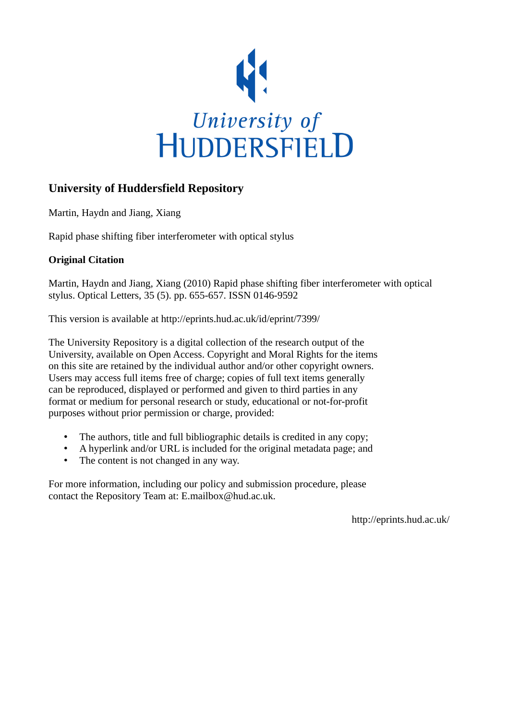

## **University of Huddersfield Repository**

Martin, Haydn and Jiang, Xiang

Rapid phase shifting fiber interferometer with optical stylus

### **Original Citation**

Martin, Haydn and Jiang, Xiang (2010) Rapid phase shifting fiber interferometer with optical stylus. Optical Letters, 35 (5). pp. 655-657. ISSN 0146-9592

This version is available at http://eprints.hud.ac.uk/id/eprint/7399/

The University Repository is a digital collection of the research output of the University, available on Open Access. Copyright and Moral Rights for the items on this site are retained by the individual author and/or other copyright owners. Users may access full items free of charge; copies of full text items generally can be reproduced, displayed or performed and given to third parties in any format or medium for personal research or study, educational or not-for-profit purposes without prior permission or charge, provided:

- The authors, title and full bibliographic details is credited in any copy;
- A hyperlink and/or URL is included for the original metadata page; and
- The content is not changed in any way.

For more information, including our policy and submission procedure, please contact the Repository Team at: E.mailbox@hud.ac.uk.

http://eprints.hud.ac.uk/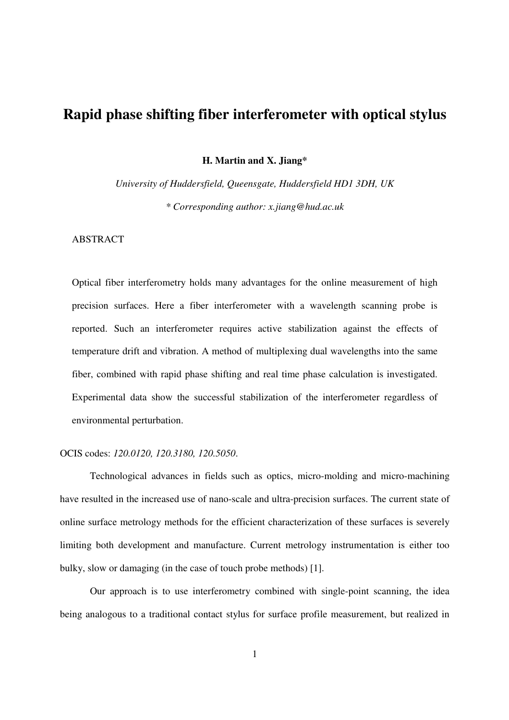# **Rapid phase shifting fiber interferometer with optical stylus**

**H. Martin and X. Jiang\*** 

*University of Huddersfield, Queensgate, Huddersfield HD1 3DH, UK \* Corresponding author: x.jiang@hud.ac.uk* 

### ABSTRACT

Optical fiber interferometry holds many advantages for the online measurement of high precision surfaces. Here a fiber interferometer with a wavelength scanning probe is reported. Such an interferometer requires active stabilization against the effects of temperature drift and vibration. A method of multiplexing dual wavelengths into the same fiber, combined with rapid phase shifting and real time phase calculation is investigated. Experimental data show the successful stabilization of the interferometer regardless of environmental perturbation.

#### OCIS codes: *120.0120, 120.3180, 120.5050*.

 Technological advances in fields such as optics, micro-molding and micro-machining have resulted in the increased use of nano-scale and ultra-precision surfaces. The current state of online surface metrology methods for the efficient characterization of these surfaces is severely limiting both development and manufacture. Current metrology instrumentation is either too bulky, slow or damaging (in the case of touch probe methods) [1].

 Our approach is to use interferometry combined with single-point scanning, the idea being analogous to a traditional contact stylus for surface profile measurement, but realized in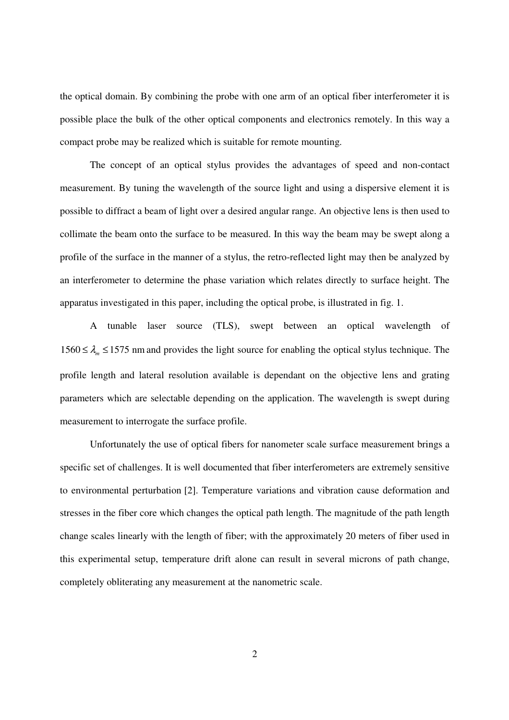the optical domain. By combining the probe with one arm of an optical fiber interferometer it is possible place the bulk of the other optical components and electronics remotely. In this way a compact probe may be realized which is suitable for remote mounting.

 The concept of an optical stylus provides the advantages of speed and non-contact measurement. By tuning the wavelength of the source light and using a dispersive element it is possible to diffract a beam of light over a desired angular range. An objective lens is then used to collimate the beam onto the surface to be measured. In this way the beam may be swept along a profile of the surface in the manner of a stylus, the retro-reflected light may then be analyzed by an interferometer to determine the phase variation which relates directly to surface height. The apparatus investigated in this paper, including the optical probe, is illustrated in fig. 1.

 A tunable laser source (TLS), swept between an optical wavelength of 1560 ≤  $\lambda_m$  ≤ 1575 nm and provides the light source for enabling the optical stylus technique. The profile length and lateral resolution available is dependant on the objective lens and grating parameters which are selectable depending on the application. The wavelength is swept during measurement to interrogate the surface profile.

 Unfortunately the use of optical fibers for nanometer scale surface measurement brings a specific set of challenges. It is well documented that fiber interferometers are extremely sensitive to environmental perturbation [2]. Temperature variations and vibration cause deformation and stresses in the fiber core which changes the optical path length. The magnitude of the path length change scales linearly with the length of fiber; with the approximately 20 meters of fiber used in this experimental setup, temperature drift alone can result in several microns of path change, completely obliterating any measurement at the nanometric scale.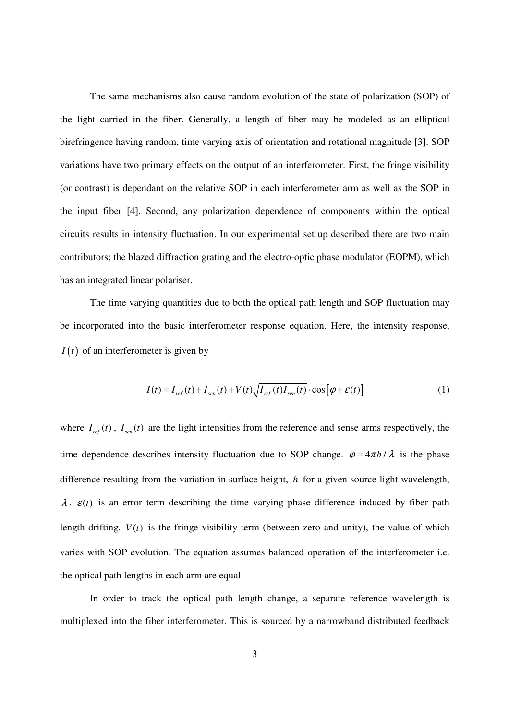The same mechanisms also cause random evolution of the state of polarization (SOP) of the light carried in the fiber. Generally, a length of fiber may be modeled as an elliptical birefringence having random, time varying axis of orientation and rotational magnitude [3]. SOP variations have two primary effects on the output of an interferometer. First, the fringe visibility (or contrast) is dependant on the relative SOP in each interferometer arm as well as the SOP in the input fiber [4]. Second, any polarization dependence of components within the optical circuits results in intensity fluctuation. In our experimental set up described there are two main contributors; the blazed diffraction grating and the electro-optic phase modulator (EOPM), which has an integrated linear polariser.

 The time varying quantities due to both the optical path length and SOP fluctuation may be incorporated into the basic interferometer response equation. Here, the intensity response,  $I(t)$  of an interferometer is given by

$$
I(t) = I_{ref}(t) + I_{sen}(t) + V(t)\sqrt{I_{ref}(t)I_{sen}(t)} \cdot \cos[\varphi + \varepsilon(t)]
$$
\n(1)

where  $I_{ref}(t)$ ,  $I_{sen}(t)$  are the light intensities from the reference and sense arms respectively, the time dependence describes intensity fluctuation due to SOP change.  $\varphi = 4\pi h / \lambda$  is the phase difference resulting from the variation in surface height, *h* for a given source light wavelength,  $\lambda$ .  $\varepsilon(t)$  is an error term describing the time varying phase difference induced by fiber path length drifting.  $V(t)$  is the fringe visibility term (between zero and unity), the value of which varies with SOP evolution. The equation assumes balanced operation of the interferometer i.e. the optical path lengths in each arm are equal.

 In order to track the optical path length change, a separate reference wavelength is multiplexed into the fiber interferometer. This is sourced by a narrowband distributed feedback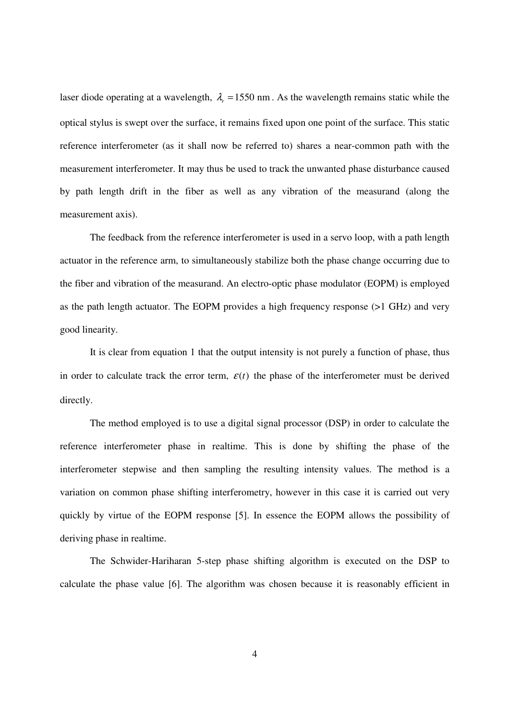laser diode operating at a wavelength,  $\lambda_r = 1550$  nm. As the wavelength remains static while the optical stylus is swept over the surface, it remains fixed upon one point of the surface. This static reference interferometer (as it shall now be referred to) shares a near-common path with the measurement interferometer. It may thus be used to track the unwanted phase disturbance caused by path length drift in the fiber as well as any vibration of the measurand (along the measurement axis).

 The feedback from the reference interferometer is used in a servo loop, with a path length actuator in the reference arm, to simultaneously stabilize both the phase change occurring due to the fiber and vibration of the measurand. An electro-optic phase modulator (EOPM) is employed as the path length actuator. The EOPM provides a high frequency response (>1 GHz) and very good linearity.

 It is clear from equation 1 that the output intensity is not purely a function of phase, thus in order to calculate track the error term,  $\varepsilon(t)$  the phase of the interferometer must be derived directly.

 The method employed is to use a digital signal processor (DSP) in order to calculate the reference interferometer phase in realtime. This is done by shifting the phase of the interferometer stepwise and then sampling the resulting intensity values. The method is a variation on common phase shifting interferometry, however in this case it is carried out very quickly by virtue of the EOPM response [5]. In essence the EOPM allows the possibility of deriving phase in realtime.

 The Schwider-Hariharan 5-step phase shifting algorithm is executed on the DSP to calculate the phase value [6]. The algorithm was chosen because it is reasonably efficient in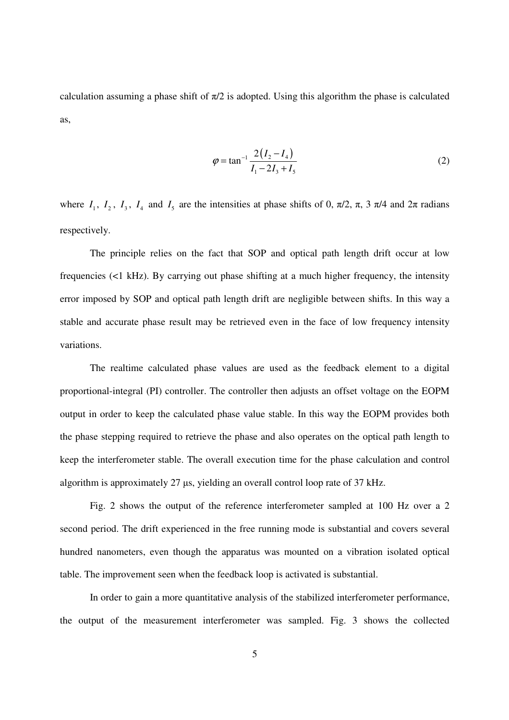calculation assuming a phase shift of  $\pi/2$  is adopted. Using this algorithm the phase is calculated as,

$$
\varphi = \tan^{-1} \frac{2(I_2 - I_4)}{I_1 - 2I_3 + I_5}
$$
\n(2)

where  $I_1$ ,  $I_2$ ,  $I_3$ ,  $I_4$  and  $I_5$  are the intensities at phase shifts of 0,  $\pi/2$ ,  $\pi$ ,  $\pi/4$  and  $2\pi$  radians respectively.

 The principle relies on the fact that SOP and optical path length drift occur at low frequencies (<1 kHz). By carrying out phase shifting at a much higher frequency, the intensity error imposed by SOP and optical path length drift are negligible between shifts. In this way a stable and accurate phase result may be retrieved even in the face of low frequency intensity variations.

 The realtime calculated phase values are used as the feedback element to a digital proportional-integral (PI) controller. The controller then adjusts an offset voltage on the EOPM output in order to keep the calculated phase value stable. In this way the EOPM provides both the phase stepping required to retrieve the phase and also operates on the optical path length to keep the interferometer stable. The overall execution time for the phase calculation and control algorithm is approximately 27  $\mu$ s, yielding an overall control loop rate of 37 kHz.

 Fig. 2 shows the output of the reference interferometer sampled at 100 Hz over a 2 second period. The drift experienced in the free running mode is substantial and covers several hundred nanometers, even though the apparatus was mounted on a vibration isolated optical table. The improvement seen when the feedback loop is activated is substantial.

 In order to gain a more quantitative analysis of the stabilized interferometer performance, the output of the measurement interferometer was sampled. Fig. 3 shows the collected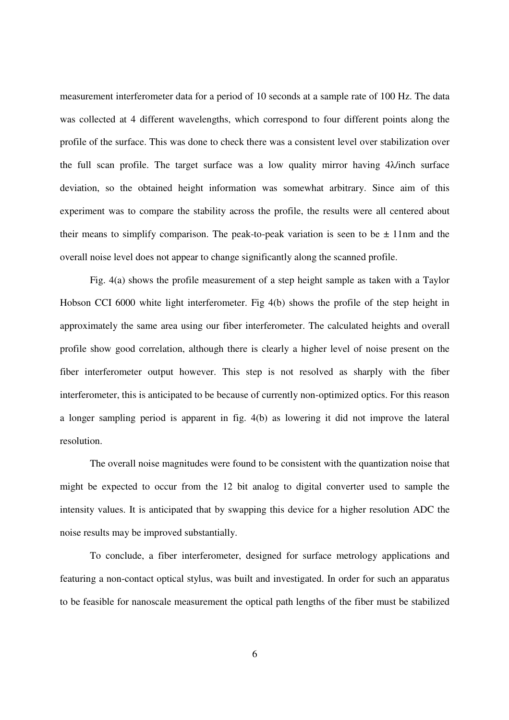measurement interferometer data for a period of 10 seconds at a sample rate of 100 Hz. The data was collected at 4 different wavelengths, which correspond to four different points along the profile of the surface. This was done to check there was a consistent level over stabilization over the full scan profile. The target surface was a low quality mirror having  $4\lambda$  inch surface deviation, so the obtained height information was somewhat arbitrary. Since aim of this experiment was to compare the stability across the profile, the results were all centered about their means to simplify comparison. The peak-to-peak variation is seen to be  $\pm$  11nm and the overall noise level does not appear to change significantly along the scanned profile.

 Fig. 4(a) shows the profile measurement of a step height sample as taken with a Taylor Hobson CCI 6000 white light interferometer. Fig 4(b) shows the profile of the step height in approximately the same area using our fiber interferometer. The calculated heights and overall profile show good correlation, although there is clearly a higher level of noise present on the fiber interferometer output however. This step is not resolved as sharply with the fiber interferometer, this is anticipated to be because of currently non-optimized optics. For this reason a longer sampling period is apparent in fig. 4(b) as lowering it did not improve the lateral resolution.

 The overall noise magnitudes were found to be consistent with the quantization noise that might be expected to occur from the 12 bit analog to digital converter used to sample the intensity values. It is anticipated that by swapping this device for a higher resolution ADC the noise results may be improved substantially.

 To conclude, a fiber interferometer, designed for surface metrology applications and featuring a non-contact optical stylus, was built and investigated. In order for such an apparatus to be feasible for nanoscale measurement the optical path lengths of the fiber must be stabilized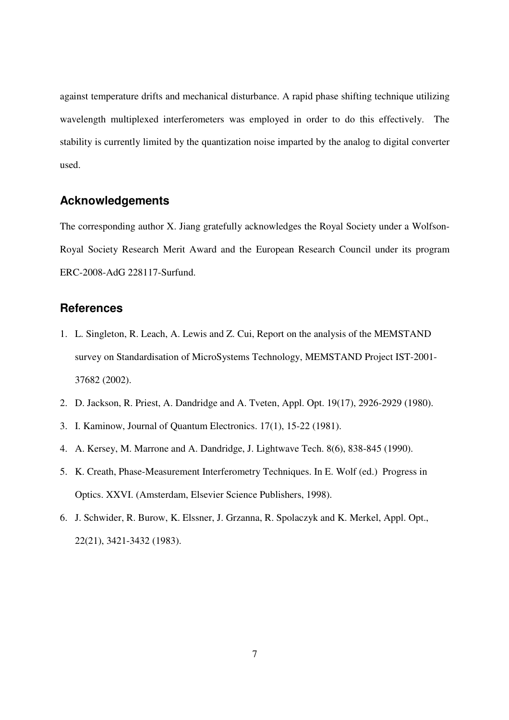against temperature drifts and mechanical disturbance. A rapid phase shifting technique utilizing wavelength multiplexed interferometers was employed in order to do this effectively. The stability is currently limited by the quantization noise imparted by the analog to digital converter used.

### **Acknowledgements**

The corresponding author X. Jiang gratefully acknowledges the Royal Society under a Wolfson-Royal Society Research Merit Award and the European Research Council under its program ERC-2008-AdG 228117-Surfund.

### **References**

- 1. L. Singleton, R. Leach, A. Lewis and Z. Cui, Report on the analysis of the MEMSTAND survey on Standardisation of MicroSystems Technology, MEMSTAND Project IST-2001- 37682 (2002).
- 2. D. Jackson, R. Priest, A. Dandridge and A. Tveten, Appl. Opt. 19(17), 2926-2929 (1980).
- 3. I. Kaminow, Journal of Quantum Electronics. 17(1), 15-22 (1981).
- 4. A. Kersey, M. Marrone and A. Dandridge, J. Lightwave Tech. 8(6), 838-845 (1990).
- 5. K. Creath, Phase-Measurement Interferometry Techniques. In E. Wolf (ed.) Progress in Optics. XXVI. (Amsterdam, Elsevier Science Publishers, 1998).
- 6. J. Schwider, R. Burow, K. Elssner, J. Grzanna, R. Spolaczyk and K. Merkel, Appl. Opt., 22(21), 3421-3432 (1983).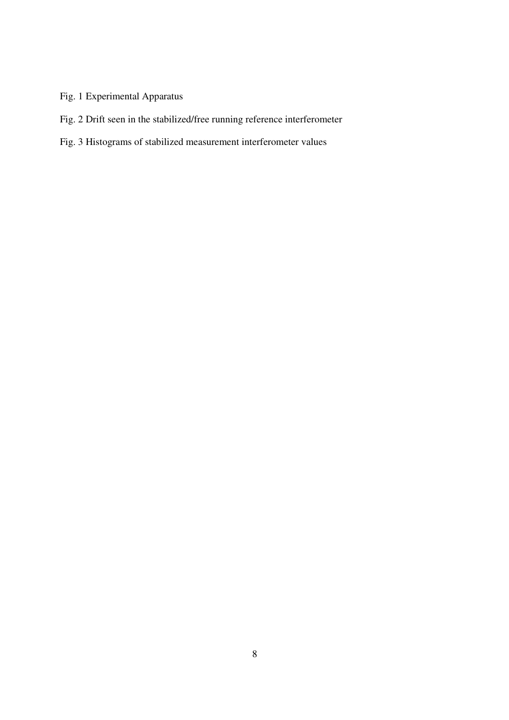# Fig. 1 Experimental Apparatus

Fig. 2 Drift seen in the stabilized/free running reference interferometer

# Fig. 3 Histograms of stabilized measurement interferometer values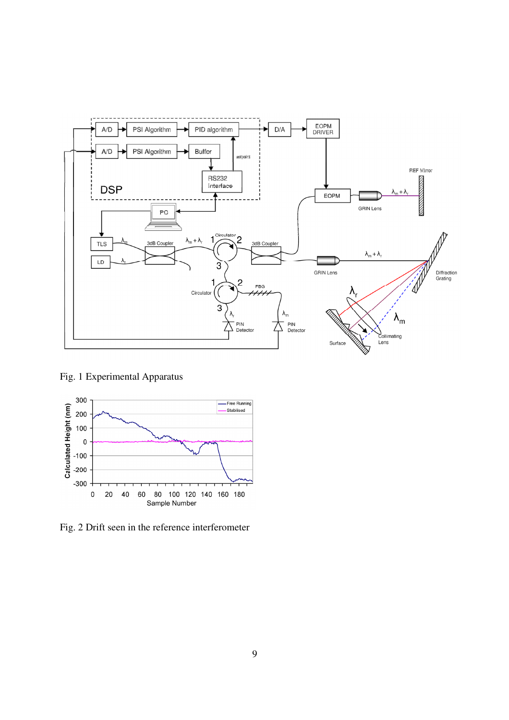

Fig. 1 Experimental Apparatus



Fig. 2 Drift seen in the reference interferometer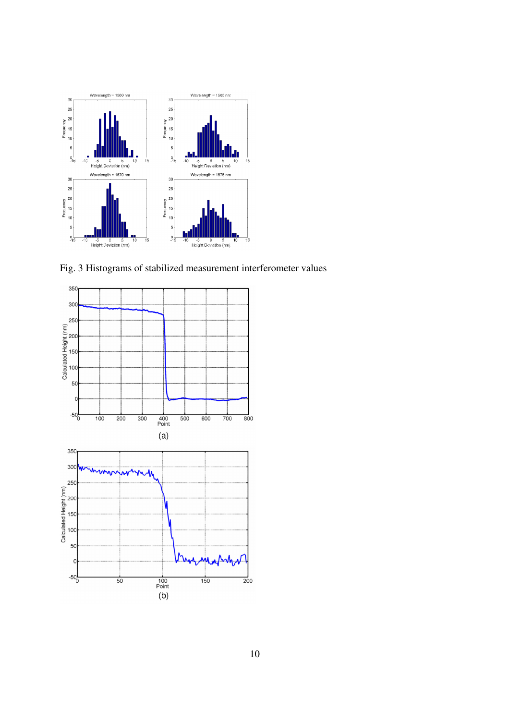

Fig. 3 Histograms of stabilized measurement interferometer values